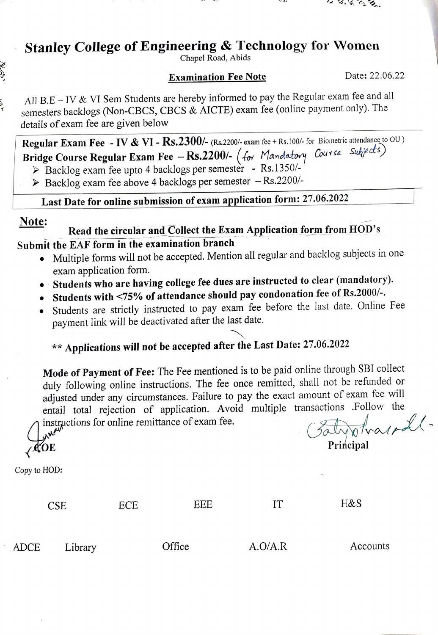### Stanley College of Engineering & Technology for Women

Chapel Road, Abids

#### **Examination Fee Note** Date: 22.06.22

 $3.9652$ 

All B.E -IV & VI Sem Students are hereby informed to pay the Regular exam fee and all semesters backlogs (Non-CBCs, CBCS & AICTE) exam fee (online payment only). The details of exam fee are given below

Regular Exam Fee - IV & VI - Rs.2300/- (Rs.2200/- exam fee + Rs.100/- for Biometric attendance to OU) Regular Lxam Fee - IV & VI - RS.2300/- (RS.2200/- exam fee + RS.100/- for Blomeine and alleged s)<br>Bridge Course Regular Exam Fee - RS.2200/- (for Mandatory Course Subjects)

> Backlog exam fee upto 4 backlogs per semester - Rs.1350/-

 $\triangleright$  Backlog exam fee above 4 backlogs per semester  $-Rs.2200/-$ 

Last Date for online submission of exam application form: 27.06.2022

らく

Note:<br>Read the circular and Collect the Exam Application form from HOD's Submit the EAF form in the examination branch

- Multiple forms will not be accepted. Mention all regular and backlog subjects in one exam application form.
- Students who are having college fee dues are instructed to clear (mandatory).
- Students with <75% of attendance should pay condonation fee of Rs.2000/-.
- Students are strictly instructed to pay exam fee before the last date. Online Fee payment link will be deactivated after the last date.

## \*\* Applications will not be accepted after the Last Date: 27.06.2022

Mode of Payment of Fee: The Fee mentioned is to be paid online through SBI collect duly following online instructions. The fee once remitted, shall not be refunded or adjusted under any circumstances. Failure to pay the exact amount of exam fee will entail total rejection of application. Avoid multiple transactions .Follow the instructions for online remittance of exam fee.

 $\sqrt{QOE}$  Principal

aly otraspoll.

Copy to HOD:



ADCE Library Office A.O/A.R Accounts